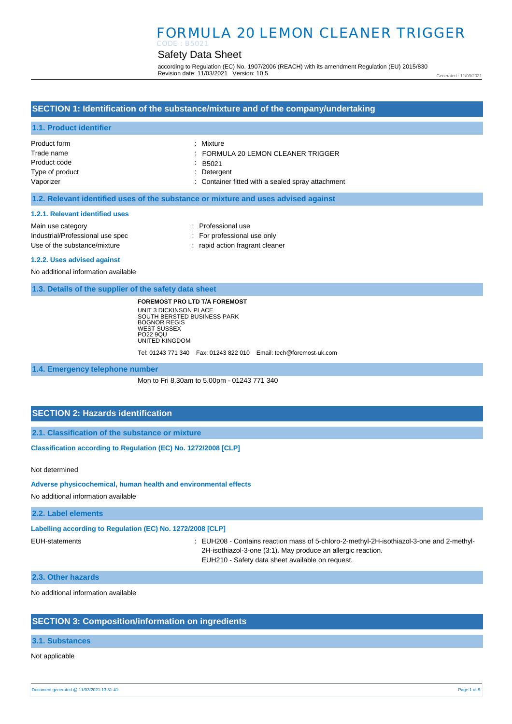## Safety Data Sheet

according to Regulation (EC) No. 1907/2006 (REACH) with its amendment Regulation (EU) 2015/830 Revision date: 11/03/2021 Version: 10.5

Generated : 11/03/2021

### **SECTION 1: Identification of the substance/mixture and of the company/undertaking**

#### **1.1. Product identifier**

| Product form    | : Mixture                                         |
|-----------------|---------------------------------------------------|
| Trade name      | FORMULA 20 LEMON CLEANER TRIGGER                  |
| Product code    | $\therefore$ B5021                                |
| Type of product | : Detergent                                       |
| Vaporizer       | : Container fitted with a sealed spray attachment |

#### **1.2. Relevant identified uses of the substance or mixture and uses advised against**

#### **1.2.1. Relevant identified uses**

Main use category **Example 20** and the Main use category **in the Contract 20 and 10** and 10 and 10 and 10 and 10 and 10 and 10 and 10 and 10 and 10 and 10 and 10 and 10 and 10 and 10 and 10 and 10 and 10 and 10 and 10 and Industrial/Professional use spec : For professional use only Use of the substance/mixture in the substance/mixture in the substance in the substance of the substance of the substance in the substance of the substance of the substance of the substance of the substance of the substanc

#### **1.2.2. Uses advised against**

No additional information available

#### **1.3. Details of the supplier of the safety data sheet**

**FOREMOST PRO LTD T/A FOREMOST**

UNIT 3 DICKINSON PLACE SOUTH BERSTED BUSINESS PARK BOGNOR REGIS WEST SUSSEX PO22 9QU UNITED KINGDOM Tel: 01243 771 340 Fax: 01243 822 010 Email: tech@foremost-uk.com

**1.4. Emergency telephone number**

Mon to Fri 8.30am to 5.00pm - 01243 771 340

### **SECTION 2: Hazards identification**

**2.1. Classification of the substance or mixture**

**Classification according to Regulation (EC) No. 1272/2008 [CLP]** 

Not determined

**Adverse physicochemical, human health and environmental effects** 

No additional information available

#### **2.2. Label elements**

**Labelling according to Regulation (EC) No. 1272/2008 [CLP]** 

EUH-statements : EUH208 - Contains reaction mass of 5-chloro-2-methyl-2H-isothiazol-3-one and 2-methyl-2H-isothiazol-3-one (3:1). May produce an allergic reaction. EUH210 - Safety data sheet available on request.

#### **2.3. Other hazards**

No additional information available

### **SECTION 3: Composition/information on ingredients**

#### **3.1. Substances**

Not applicable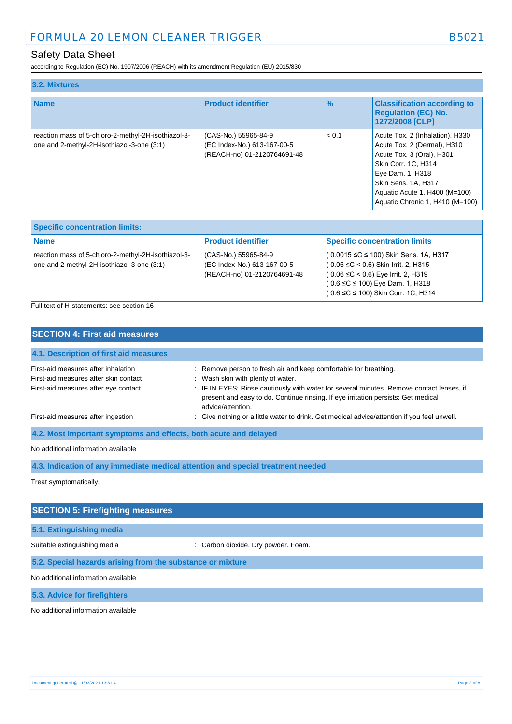## Safety Data Sheet

according to Regulation (EC) No. 1907/2006 (REACH) with its amendment Regulation (EU) 2015/830

| 3.2. Mixtures                                                                                     |                                                                                    |               |                                                                                                                                                                                                                                   |
|---------------------------------------------------------------------------------------------------|------------------------------------------------------------------------------------|---------------|-----------------------------------------------------------------------------------------------------------------------------------------------------------------------------------------------------------------------------------|
| <b>Name</b>                                                                                       | <b>Product identifier</b>                                                          | $\frac{9}{6}$ | <b>Classification according to</b><br><b>Regulation (EC) No.</b><br>1272/2008 [CLP]                                                                                                                                               |
| reaction mass of 5-chloro-2-methyl-2H-isothiazol-3-<br>one and 2-methyl-2H-isothiazol-3-one (3:1) | (CAS-No.) 55965-84-9<br>(EC Index-No.) 613-167-00-5<br>(REACH-no) 01-2120764691-48 | < 0.1         | Acute Tox. 2 (Inhalation), H330<br>Acute Tox. 2 (Dermal), H310<br>Acute Tox. 3 (Oral), H301<br>Skin Corr. 1C. H314<br>Eye Dam. 1, H318<br>Skin Sens. 1A, H317<br>Aquatic Acute 1, H400 (M=100)<br>Aquatic Chronic 1, H410 (M=100) |

| <b>Specific concentration limits:</b>                                                             |                                                                                    |                                                                                                                                                                                                                          |
|---------------------------------------------------------------------------------------------------|------------------------------------------------------------------------------------|--------------------------------------------------------------------------------------------------------------------------------------------------------------------------------------------------------------------------|
| <b>Name</b>                                                                                       | <b>Product identifier</b>                                                          | <b>Specific concentration limits</b>                                                                                                                                                                                     |
| reaction mass of 5-chloro-2-methyl-2H-isothiazol-3-<br>one and 2-methyl-2H-isothiazol-3-one (3:1) | (CAS-No.) 55965-84-9<br>(EC Index-No.) 613-167-00-5<br>(REACH-no) 01-2120764691-48 | (0.0015 ≤C ≤ 100) Skin Sens. 1A, H317<br>$(0.06 \leq C < 0.6)$ Skin Irrit. 2, H315<br><sup>1</sup> ( 0.06 ≤C < 0.6) Eye Irrit. 2, H319<br>$(0.6 \leq C \leq 100)$ Eye Dam. 1, H318<br>(0.6 ≤C ≤ 100) Skin Corr. 1C, H314 |

Full text of H-statements: see section 16

| <b>SECTION 4: First aid measures</b>                                                                                 |                                                                                                                                                                                                                                                                                        |  |
|----------------------------------------------------------------------------------------------------------------------|----------------------------------------------------------------------------------------------------------------------------------------------------------------------------------------------------------------------------------------------------------------------------------------|--|
| 4.1. Description of first aid measures                                                                               |                                                                                                                                                                                                                                                                                        |  |
| First-aid measures after inhalation<br>First-aid measures after skin contact<br>First-aid measures after eye contact | : Remove person to fresh air and keep comfortable for breathing.<br>: Wash skin with plenty of water.<br>: IF IN EYES: Rinse cautiously with water for several minutes. Remove contact lenses, if<br>present and easy to do. Continue rinsing. If eye irritation persists: Get medical |  |
| First-aid measures after ingestion                                                                                   | advice/attention.<br>: Give nothing or a little water to drink. Get medical advice/attention if you feel unwell.                                                                                                                                                                       |  |
| 4.2. Most important symptoms and effects, both acute and delayed<br>No additional information available              |                                                                                                                                                                                                                                                                                        |  |

**4.3. Indication of any immediate medical attention and special treatment needed**

Treat symptomatically.

## **SECTION 5: Firefighting measures**

## **5.1. Extinguishing media**

Suitable extinguishing media : Carbon dioxide. Dry powder. Foam.

#### **5.2. Special hazards arising from the substance or mixture**

No additional information available

**5.3. Advice for firefighters**

No additional information available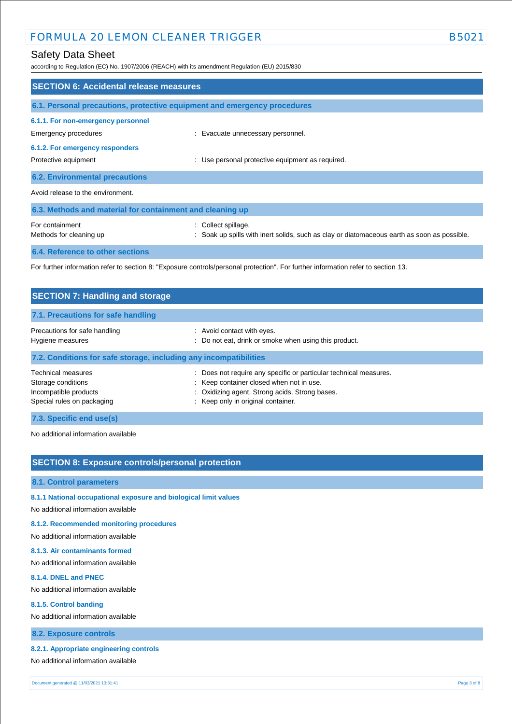## Safety Data Sheet

according to Regulation (EC) No. 1907/2006 (REACH) with its amendment Regulation (EU) 2015/830

| <b>SECTION 6: Accidental release measures</b>                                                                                     |                                                                                                                    |  |
|-----------------------------------------------------------------------------------------------------------------------------------|--------------------------------------------------------------------------------------------------------------------|--|
| 6.1. Personal precautions, protective equipment and emergency procedures                                                          |                                                                                                                    |  |
| 6.1.1. For non-emergency personnel<br>Emergency procedures                                                                        | : Evacuate unnecessary personnel.                                                                                  |  |
| 6.1.2. For emergency responders<br>Protective equipment                                                                           | : Use personal protective equipment as required.                                                                   |  |
| <b>6.2. Environmental precautions</b>                                                                                             |                                                                                                                    |  |
| Avoid release to the environment.                                                                                                 |                                                                                                                    |  |
| 6.3. Methods and material for containment and cleaning up                                                                         |                                                                                                                    |  |
| For containment<br>Methods for cleaning up                                                                                        | : Collect spillage.<br>: Soak up spills with inert solids, such as clay or diatomaceous earth as soon as possible. |  |
| <b>6.4. Reference to other sections</b>                                                                                           |                                                                                                                    |  |
| For further information refer to section 8: "Exposure controls/personal protection". For further information refer to section 13. |                                                                                                                    |  |

| <b>SECTION 7: Handling and storage</b>                                                                 |                                                                                                                                                                                                       |  |
|--------------------------------------------------------------------------------------------------------|-------------------------------------------------------------------------------------------------------------------------------------------------------------------------------------------------------|--|
| 7.1. Precautions for safe handling                                                                     |                                                                                                                                                                                                       |  |
| Precautions for safe handling<br>Hygiene measures                                                      | : Avoid contact with eyes.<br>: Do not eat, drink or smoke when using this product.                                                                                                                   |  |
| 7.2. Conditions for safe storage, including any incompatibilities                                      |                                                                                                                                                                                                       |  |
| <b>Technical measures</b><br>Storage conditions<br>Incompatible products<br>Special rules on packaging | : Does not require any specific or particular technical measures.<br>: Keep container closed when not in use.<br>: Oxidizing agent. Strong acids. Strong bases.<br>: Keep only in original container. |  |
| 7.3. Specific end use(s)                                                                               |                                                                                                                                                                                                       |  |

No additional information available

## **SECTION 8: Exposure controls/personal protection**

#### **8.1. Control parameters**

- **8.1.1 National occupational exposure and biological limit values**
- No additional information available

#### **8.1.2. Recommended monitoring procedures**

No additional information available

#### **8.1.3. Air contaminants formed**

No additional information available

#### **8.1.4. DNEL and PNEC**

No additional information available

#### **8.1.5. Control banding**

No additional information available

### **8.2. Exposure controls**

#### **8.2.1. Appropriate engineering controls**

No additional information available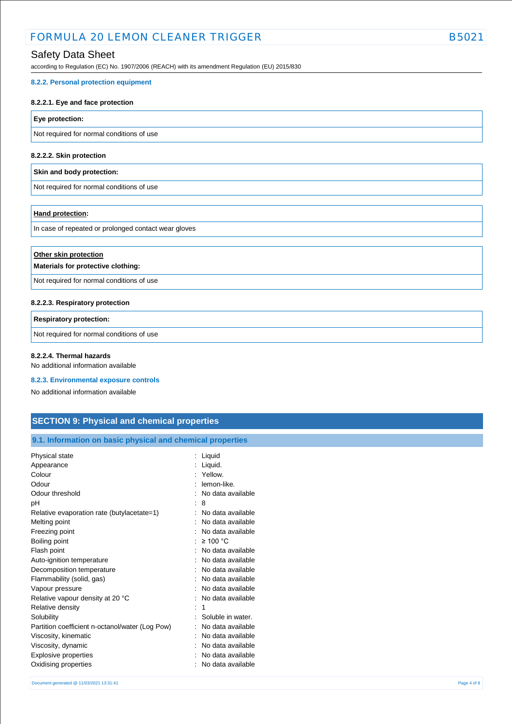## Safety Data Sheet

according to Regulation (EC) No. 1907/2006 (REACH) with its amendment Regulation (EU) 2015/830

#### **8.2.2. Personal protection equipment**

#### **8.2.2.1. Eye and face protection**

#### **Eye protection:**

Not required for normal conditions of use

#### **8.2.2.2. Skin protection**

#### **Skin and body protection:**

Not required for normal conditions of use

#### **Hand protection:**

In case of repeated or prolonged contact wear gloves

| Other skin protection<br>Materials for protective clothing: |  |  |
|-------------------------------------------------------------|--|--|
| Not required for normal conditions of use                   |  |  |
| 8.2.2.3. Respiratory protection                             |  |  |

# **Respiratory protection:**

Not required for normal conditions of use

### **8.2.2.4. Thermal hazards**

No additional information available

#### **8.2.3. Environmental exposure controls**

No additional information available

## **SECTION 9: Physical and chemical properties**

| Physical state                                  | : Liquid            |
|-------------------------------------------------|---------------------|
| Appearance                                      | Liquid.             |
| Colour                                          | Yellow.             |
| Odour                                           | lemon-like.         |
| Odour threshold                                 | No data available   |
| pH                                              | -8                  |
| Relative evaporation rate (butylacetate=1)      | No data available   |
| Melting point                                   | No data available   |
| Freezing point                                  | No data available   |
| Boiling point                                   | : $\geq 100$ °C     |
| Flash point                                     | No data available   |
| Auto-ignition temperature                       | No data available   |
| Decomposition temperature                       | No data available   |
| Flammability (solid, gas)                       | No data available   |
| Vapour pressure                                 | No data available   |
| Relative vapour density at 20 °C                | : No data available |
| Relative density                                | 1                   |
| Solubility                                      | Soluble in water.   |
| Partition coefficient n-octanol/water (Log Pow) | No data available   |
| Viscosity, kinematic                            | No data available   |
| Viscosity, dynamic                              | No data available   |
| Explosive properties                            | No data available   |
| Oxidising properties                            | No data available   |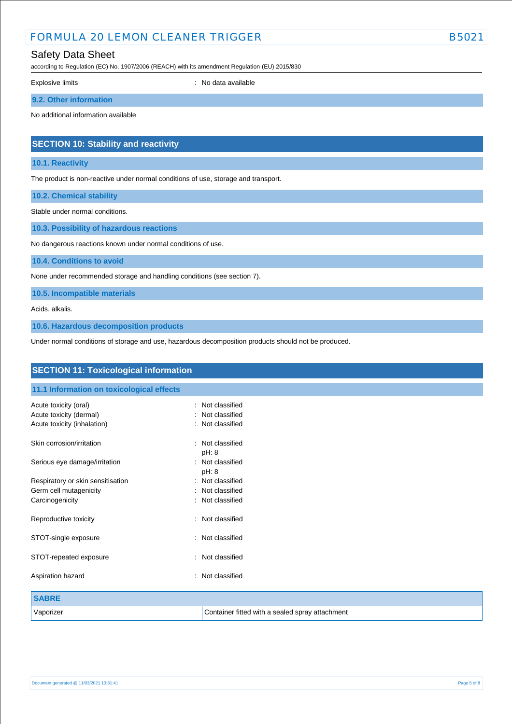## Safety Data Sheet

according to Regulation (EC) No. 1907/2006 (REACH) with its amendment Regulation (EU) 2015/830

Explosive limits **Explosive Limits Explosive Limits Explosive Limits Explosive Limits Explosive Limits EXPLOSIVE 2018** 

### **9.2. Other information**

No additional information available

## **SECTION 10: Stability and reactivity**

#### **10.1. Reactivity**

The product is non-reactive under normal conditions of use, storage and transport.

**10.2. Chemical stability**

Stable under normal conditions.

**10.3. Possibility of hazardous reactions**

No dangerous reactions known under normal conditions of use.

**10.4. Conditions to avoid**

None under recommended storage and handling conditions (see section 7).

**10.5. Incompatible materials**

Acids. alkalis.

**10.6. Hazardous decomposition products**

Under normal conditions of storage and use, hazardous decomposition products should not be produced.

| <b>SECTION 11: Toxicological information</b>           |                                                 |  |
|--------------------------------------------------------|-------------------------------------------------|--|
| 11.1 Information on toxicological effects              |                                                 |  |
| Acute toxicity (oral)                                  | Not classified<br>$\bullet$                     |  |
| Acute toxicity (dermal)<br>Acute toxicity (inhalation) | Not classified<br>Not classified                |  |
| Skin corrosion/irritation                              | Not classified<br>۰.<br>pH: 8                   |  |
| Serious eye damage/irritation                          | : Not classified<br>pH: 8                       |  |
| Respiratory or skin sensitisation                      | : Not classified                                |  |
| Germ cell mutagenicity                                 | Not classified                                  |  |
| Carcinogenicity                                        | Not classified                                  |  |
| Reproductive toxicity                                  | : Not classified                                |  |
| STOT-single exposure                                   | Not classified<br>÷                             |  |
| STOT-repeated exposure                                 | Not classified<br>÷                             |  |
| Aspiration hazard                                      | Not classified<br>٠                             |  |
| <b>SABRE</b>                                           |                                                 |  |
| Vaporizer                                              | Container fitted with a sealed spray attachment |  |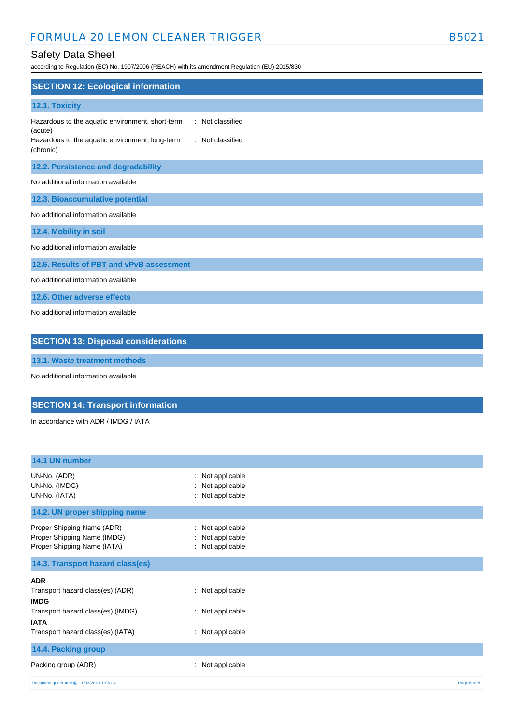## Safety Data Sheet

according to Regulation (EC) No. 1907/2006 (REACH) with its amendment Regulation (EU) 2015/830

| <b>SECTION 12: Ecological information</b>                                                                                                                           |  |  |
|---------------------------------------------------------------------------------------------------------------------------------------------------------------------|--|--|
| 12.1. Toxicity                                                                                                                                                      |  |  |
| : Not classified<br>Hazardous to the aquatic environment, short-term<br>(acute)<br>Hazardous to the aquatic environment, long-term<br>: Not classified<br>(chronic) |  |  |
| 12.2. Persistence and degradability                                                                                                                                 |  |  |
| No additional information available                                                                                                                                 |  |  |
| 12.3. Bioaccumulative potential                                                                                                                                     |  |  |
| No additional information available                                                                                                                                 |  |  |
| 12.4. Mobility in soil                                                                                                                                              |  |  |
| No additional information available                                                                                                                                 |  |  |
| 12.5. Results of PBT and vPvB assessment                                                                                                                            |  |  |
| No additional information available                                                                                                                                 |  |  |
| 12.6. Other adverse effects                                                                                                                                         |  |  |
| No additional information available                                                                                                                                 |  |  |
| <b>SECTION 13: Disposal considerations</b>                                                                                                                          |  |  |

**13.1. Waste treatment methods**

No additional information available

# **SECTION 14: Transport information**

In accordance with ADR / IMDG / IATA

| 14.1 UN number                                                                           |                                                             |             |
|------------------------------------------------------------------------------------------|-------------------------------------------------------------|-------------|
| UN-No. (ADR)<br>UN-No. (IMDG)<br>UN-No. (IATA)                                           | : Not applicable<br>: Not applicable<br>: Not applicable    |             |
| 14.2. UN proper shipping name                                                            |                                                             |             |
| Proper Shipping Name (ADR)<br>Proper Shipping Name (IMDG)<br>Proper Shipping Name (IATA) | Not applicable<br>÷<br>: Not applicable<br>: Not applicable |             |
| 14.3. Transport hazard class(es)                                                         |                                                             |             |
| <b>ADR</b>                                                                               |                                                             |             |
| Transport hazard class(es) (ADR)<br><b>IMDG</b>                                          | : Not applicable                                            |             |
| Transport hazard class(es) (IMDG)<br><b>IATA</b>                                         | : Not applicable                                            |             |
| Transport hazard class(es) (IATA)                                                        | : Not applicable                                            |             |
| 14.4. Packing group                                                                      |                                                             |             |
| Packing group (ADR)                                                                      | Not applicable<br>÷                                         |             |
| Document generated @ 11/03/2021 13:31:41                                                 |                                                             | Page 6 of 8 |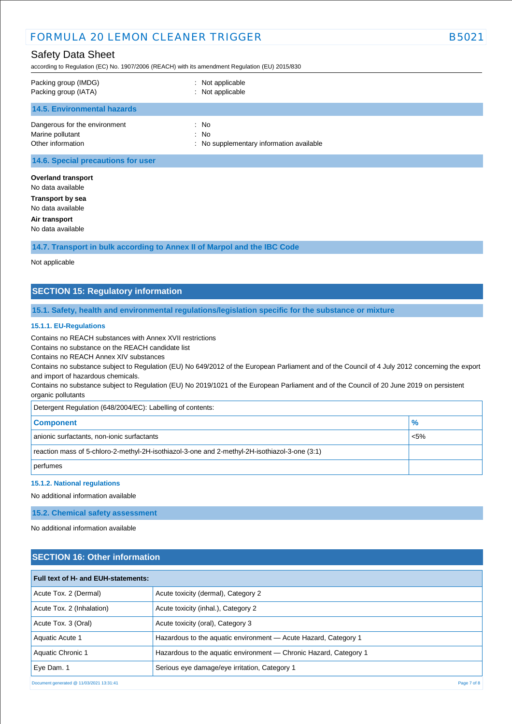## Safety Data Sheet

according to Regulation (EC) No. 1907/2006 (REACH) with its amendment Regulation (EU) 2015/830

| Packing group (IMDG)          | : Not applicable                         |
|-------------------------------|------------------------------------------|
| Packing group (IATA)          | : Not applicable                         |
| 14.5. Environmental hazards   |                                          |
| Dangerous for the environment | : No                                     |
| Marine pollutant              | : No                                     |
| Other information             | : No supplementary information available |
|                               |                                          |

#### **14.6. Special precautions for user**

**Overland transport** No data available **Transport by sea** No data available **Air transport** No data available

**14.7. Transport in bulk according to Annex II of Marpol and the IBC Code**

#### Not applicable

## **SECTION 15: Regulatory information**

#### **15.1. Safety, health and environmental regulations/legislation specific for the substance or mixture**

#### **15.1.1. EU-Regulations**

Contains no REACH substances with Annex XVII restrictions

Contains no substance on the REACH candidate list

Contains no REACH Annex XIV substances

Contains no substance subject to Regulation (EU) No 649/2012 of the European Parliament and of the Council of 4 July 2012 concerning the export and import of hazardous chemicals.

Contains no substance subject to Regulation (EU) No 2019/1021 of the European Parliament and of the Council of 20 June 2019 on persistent organic pollutants

Detergent Regulation (648/2004/EC): Labelling of contents:

| <b>Component</b>                                                                              | $\frac{9}{6}$ |  |
|-----------------------------------------------------------------------------------------------|---------------|--|
| anionic surfactants, non-ionic surfactants                                                    | $< 5\%$       |  |
| reaction mass of 5-chloro-2-methyl-2H-isothiazol-3-one and 2-methyl-2H-isothiazol-3-one (3:1) |               |  |
| perfumes                                                                                      |               |  |

#### **15.1.2. National regulations**

No additional information available

**15.2. Chemical safety assessment**

No additional information available

### **SECTION 16: Other information**

| Full text of H- and EUH-statements:      |                                                                   |             |
|------------------------------------------|-------------------------------------------------------------------|-------------|
| Acute Tox. 2 (Dermal)                    | Acute toxicity (dermal), Category 2                               |             |
| Acute Tox. 2 (Inhalation)                | Acute toxicity (inhal.), Category 2                               |             |
| Acute Tox. 3 (Oral)                      | Acute toxicity (oral), Category 3                                 |             |
| Aquatic Acute 1                          | Hazardous to the aquatic environment - Acute Hazard, Category 1   |             |
| Aquatic Chronic 1                        | Hazardous to the aquatic environment — Chronic Hazard, Category 1 |             |
| Eye Dam. 1                               | Serious eye damage/eye irritation, Category 1                     |             |
| Document generated @ 11/03/2021 13:31:41 |                                                                   | Page 7 of 8 |